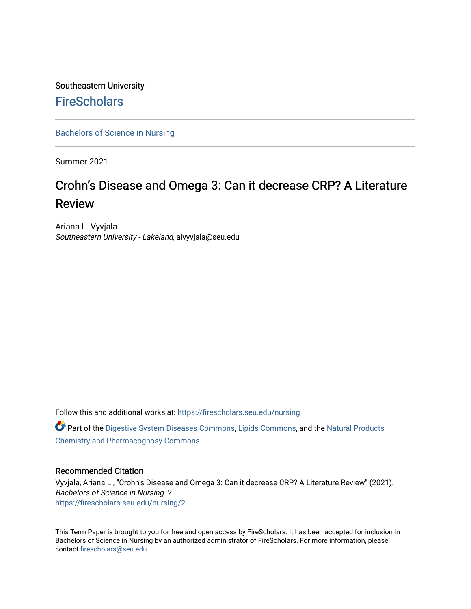### Southeastern University **FireScholars**

[Bachelors of Science in Nursing](https://firescholars.seu.edu/nursing)

Summer 2021

# Crohn's Disease and Omega 3: Can it decrease CRP? A Literature Review

Ariana L. Vyvjala Southeastern University - Lakeland, alvyvjala@seu.edu

Follow this and additional works at: [https://firescholars.seu.edu/nursing](https://firescholars.seu.edu/nursing?utm_source=firescholars.seu.edu%2Fnursing%2F2&utm_medium=PDF&utm_campaign=PDFCoverPages) Part of the [Digestive System Diseases Commons](http://network.bepress.com/hgg/discipline/986?utm_source=firescholars.seu.edu%2Fnursing%2F2&utm_medium=PDF&utm_campaign=PDFCoverPages), [Lipids Commons,](http://network.bepress.com/hgg/discipline/920?utm_source=firescholars.seu.edu%2Fnursing%2F2&utm_medium=PDF&utm_campaign=PDFCoverPages) and the [Natural Products](http://network.bepress.com/hgg/discipline/735?utm_source=firescholars.seu.edu%2Fnursing%2F2&utm_medium=PDF&utm_campaign=PDFCoverPages) 

[Chemistry and Pharmacognosy Commons](http://network.bepress.com/hgg/discipline/735?utm_source=firescholars.seu.edu%2Fnursing%2F2&utm_medium=PDF&utm_campaign=PDFCoverPages) 

#### Recommended Citation

Vyvjala, Ariana L., "Crohn's Disease and Omega 3: Can it decrease CRP? A Literature Review" (2021). Bachelors of Science in Nursing. 2. [https://firescholars.seu.edu/nursing/2](https://firescholars.seu.edu/nursing/2?utm_source=firescholars.seu.edu%2Fnursing%2F2&utm_medium=PDF&utm_campaign=PDFCoverPages)

This Term Paper is brought to you for free and open access by FireScholars. It has been accepted for inclusion in Bachelors of Science in Nursing by an authorized administrator of FireScholars. For more information, please contact [firescholars@seu.edu](mailto:firescholars@seu.edu).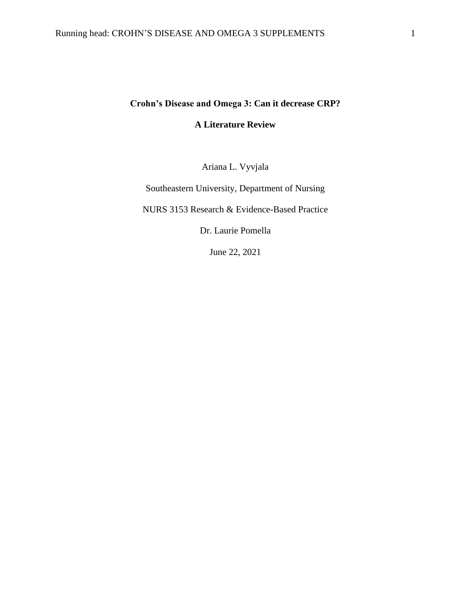## **Crohn's Disease and Omega 3: Can it decrease CRP? A Literature Review**

Ariana L. Vyvjala

Southeastern University, Department of Nursing

NURS 3153 Research & Evidence-Based Practice

Dr. Laurie Pomella

June 22, 2021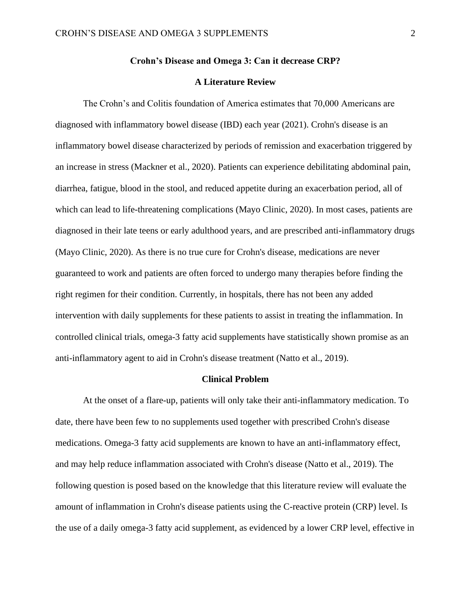#### **Crohn's Disease and Omega 3: Can it decrease CRP?**

#### **A Literature Review**

The Crohn's and Colitis foundation of America estimates that 70,000 Americans are diagnosed with inflammatory bowel disease (IBD) each year (2021). Crohn's disease is an inflammatory bowel disease characterized by periods of remission and exacerbation triggered by an increase in stress (Mackner et al., 2020). Patients can experience debilitating abdominal pain, diarrhea, fatigue, blood in the stool, and reduced appetite during an exacerbation period, all of which can lead to life-threatening complications (Mayo Clinic, 2020). In most cases, patients are diagnosed in their late teens or early adulthood years, and are prescribed anti-inflammatory drugs (Mayo Clinic, 2020). As there is no true cure for Crohn's disease, medications are never guaranteed to work and patients are often forced to undergo many therapies before finding the right regimen for their condition. Currently, in hospitals, there has not been any added intervention with daily supplements for these patients to assist in treating the inflammation. In controlled clinical trials, omega-3 fatty acid supplements have statistically shown promise as an anti-inflammatory agent to aid in Crohn's disease treatment (Natto et al., 2019).

#### **Clinical Problem**

At the onset of a flare-up, patients will only take their anti-inflammatory medication. To date, there have been few to no supplements used together with prescribed Crohn's disease medications. Omega-3 fatty acid supplements are known to have an anti-inflammatory effect, and may help reduce inflammation associated with Crohn's disease (Natto et al., 2019). The following question is posed based on the knowledge that this literature review will evaluate the amount of inflammation in Crohn's disease patients using the C-reactive protein (CRP) level. Is the use of a daily omega-3 fatty acid supplement, as evidenced by a lower CRP level, effective in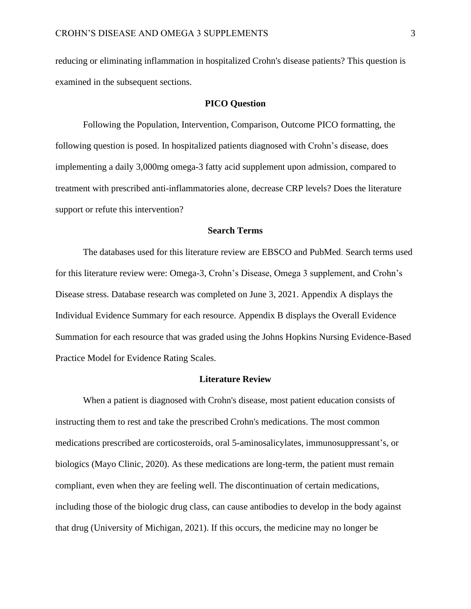reducing or eliminating inflammation in hospitalized Crohn's disease patients? This question is examined in the subsequent sections.

#### **PICO Question**

Following the Population, Intervention, Comparison, Outcome PICO formatting, the following question is posed. In hospitalized patients diagnosed with Crohn's disease, does implementing a daily 3,000mg omega-3 fatty acid supplement upon admission, compared to treatment with prescribed anti-inflammatories alone, decrease CRP levels? Does the literature support or refute this intervention?

#### **Search Terms**

The databases used for this literature review are EBSCO and PubMed. Search terms used for this literature review were: Omega-3, Crohn's Disease, Omega 3 supplement, and Crohn's Disease stress. Database research was completed on June 3, 2021. Appendix A displays the Individual Evidence Summary for each resource. Appendix B displays the Overall Evidence Summation for each resource that was graded using the Johns Hopkins Nursing Evidence-Based Practice Model for Evidence Rating Scales.

#### **Literature Review**

When a patient is diagnosed with Crohn's disease, most patient education consists of instructing them to rest and take the prescribed Crohn's medications. The most common medications prescribed are corticosteroids, oral 5-aminosalicylates, immunosuppressant's, or biologics (Mayo Clinic, 2020). As these medications are long-term, the patient must remain compliant, even when they are feeling well. The discontinuation of certain medications, including those of the biologic drug class, can cause antibodies to develop in the body against that drug (University of Michigan, 2021). If this occurs, the medicine may no longer be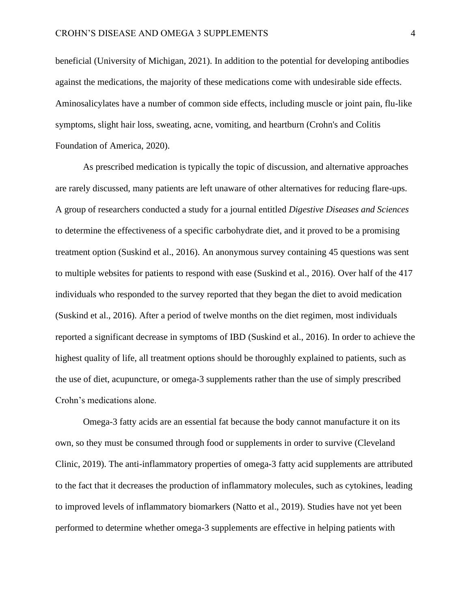beneficial (University of Michigan, 2021). In addition to the potential for developing antibodies against the medications, the majority of these medications come with undesirable side effects. Aminosalicylates have a number of common side effects, including muscle or joint pain, flu-like symptoms, slight hair loss, sweating, acne, vomiting, and heartburn (Crohn's and Colitis Foundation of America, 2020).

As prescribed medication is typically the topic of discussion, and alternative approaches are rarely discussed, many patients are left unaware of other alternatives for reducing flare-ups. A group of researchers conducted a study for a journal entitled *Digestive Diseases and Sciences* to determine the effectiveness of a specific carbohydrate diet, and it proved to be a promising treatment option (Suskind et al., 2016). An anonymous survey containing 45 questions was sent to multiple websites for patients to respond with ease (Suskind et al., 2016). Over half of the 417 individuals who responded to the survey reported that they began the diet to avoid medication (Suskind et al., 2016). After a period of twelve months on the diet regimen, most individuals reported a significant decrease in symptoms of IBD (Suskind et al., 2016). In order to achieve the highest quality of life, all treatment options should be thoroughly explained to patients, such as the use of diet, acupuncture, or omega-3 supplements rather than the use of simply prescribed Crohn's medications alone.

Omega-3 fatty acids are an essential fat because the body cannot manufacture it on its own, so they must be consumed through food or supplements in order to survive (Cleveland Clinic, 2019). The anti-inflammatory properties of omega-3 fatty acid supplements are attributed to the fact that it decreases the production of inflammatory molecules, such as cytokines, leading to improved levels of inflammatory biomarkers (Natto et al., 2019). Studies have not yet been performed to determine whether omega-3 supplements are effective in helping patients with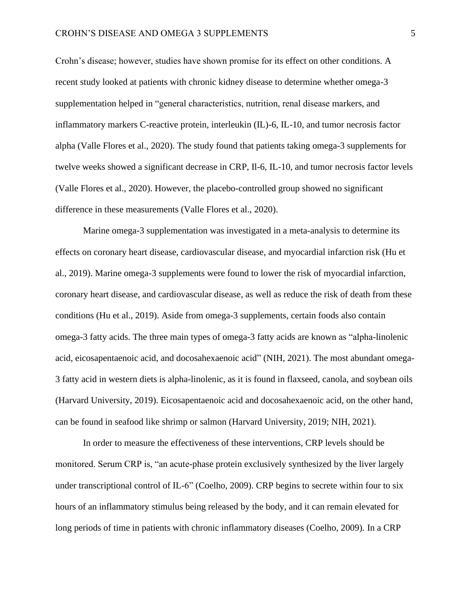Crohn's disease; however, studies have shown promise for its effect on other conditions. A recent study looked at patients with chronic kidney disease to determine whether omega-3 supplementation helped in "general characteristics, nutrition, renal disease markers, and inflammatory markers C-reactive protein, interleukin (IL)-6, IL-10, and tumor necrosis factor alpha (Valle Flores et al., 2020). The study found that patients taking omega-3 supplements for twelve weeks showed a significant decrease in CRP, Il-6, IL-10, and tumor necrosis factor levels (Valle Flores et al., 2020). However, the placebo-controlled group showed no significant difference in these measurements (Valle Flores et al., 2020).

Marine omega-3 supplementation was investigated in a meta-analysis to determine its effects on coronary heart disease, cardiovascular disease, and myocardial infarction risk (Hu et al., 2019). Marine omega-3 supplements were found to lower the risk of myocardial infarction, coronary heart disease, and cardiovascular disease, as well as reduce the risk of death from these conditions (Hu et al., 2019). Aside from omega-3 supplements, certain foods also contain omega-3 fatty acids. The three main types of omega-3 fatty acids are known as "alpha-linolenic acid, eicosapentaenoic acid, and docosahexaenoic acid" (NIH, 2021). The most abundant omega-3 fatty acid in western diets is alpha-linolenic, as it is found in flaxseed, canola, and soybean oils (Harvard University, 2019). Eicosapentaenoic acid and docosahexaenoic acid, on the other hand, can be found in seafood like shrimp or salmon (Harvard University, 2019; NIH, 2021).

In order to measure the effectiveness of these interventions, CRP levels should be monitored. Serum CRP is, "an acute-phase protein exclusively synthesized by the liver largely under transcriptional control of IL-6" (Coelho, 2009). CRP begins to secrete within four to six hours of an inflammatory stimulus being released by the body, and it can remain elevated for long periods of time in patients with chronic inflammatory diseases (Coelho, 2009). In a CRP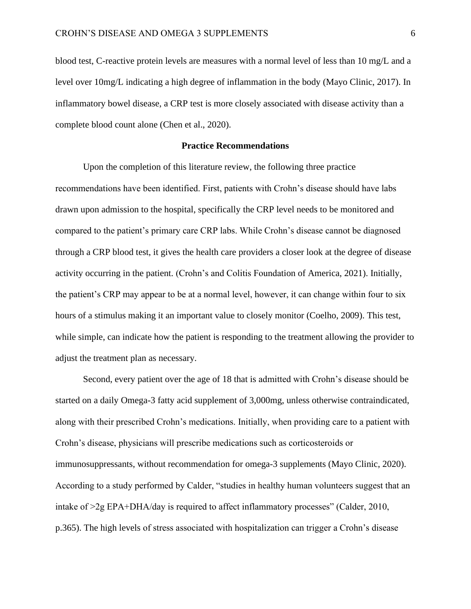blood test, C-reactive protein levels are measures with a normal level of less than 10 mg/L and a level over 10mg/L indicating a high degree of inflammation in the body (Mayo Clinic, 2017). In inflammatory bowel disease, a CRP test is more closely associated with disease activity than a complete blood count alone (Chen et al., 2020).

#### **Practice Recommendations**

Upon the completion of this literature review, the following three practice recommendations have been identified. First, patients with Crohn's disease should have labs drawn upon admission to the hospital, specifically the CRP level needs to be monitored and compared to the patient's primary care CRP labs. While Crohn's disease cannot be diagnosed through a CRP blood test, it gives the health care providers a closer look at the degree of disease activity occurring in the patient. (Crohn's and Colitis Foundation of America, 2021). Initially, the patient's CRP may appear to be at a normal level, however, it can change within four to six hours of a stimulus making it an important value to closely monitor (Coelho, 2009). This test, while simple, can indicate how the patient is responding to the treatment allowing the provider to adjust the treatment plan as necessary.

Second, every patient over the age of 18 that is admitted with Crohn's disease should be started on a daily Omega-3 fatty acid supplement of 3,000mg, unless otherwise contraindicated, along with their prescribed Crohn's medications. Initially, when providing care to a patient with Crohn's disease, physicians will prescribe medications such as corticosteroids or immunosuppressants, without recommendation for omega-3 supplements (Mayo Clinic, 2020). According to a study performed by Calder, "studies in healthy human volunteers suggest that an intake of  $>2g$  EPA+DHA/day is required to affect inflammatory processes" (Calder, 2010, p.365). The high levels of stress associated with hospitalization can trigger a Crohn's disease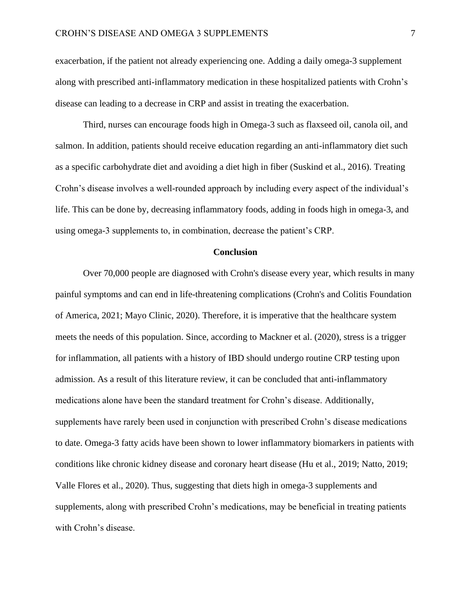exacerbation, if the patient not already experiencing one. Adding a daily omega-3 supplement along with prescribed anti-inflammatory medication in these hospitalized patients with Crohn's disease can leading to a decrease in CRP and assist in treating the exacerbation.

Third, nurses can encourage foods high in Omega-3 such as flaxseed oil, canola oil, and salmon. In addition, patients should receive education regarding an anti-inflammatory diet such as a specific carbohydrate diet and avoiding a diet high in fiber (Suskind et al., 2016). Treating Crohn's disease involves a well-rounded approach by including every aspect of the individual's life. This can be done by, decreasing inflammatory foods, adding in foods high in omega-3, and using omega-3 supplements to, in combination, decrease the patient's CRP.

#### **Conclusion**

Over 70,000 people are diagnosed with Crohn's disease every year, which results in many painful symptoms and can end in life-threatening complications (Crohn's and Colitis Foundation of America, 2021; Mayo Clinic, 2020). Therefore, it is imperative that the healthcare system meets the needs of this population. Since, according to Mackner et al. (2020), stress is a trigger for inflammation, all patients with a history of IBD should undergo routine CRP testing upon admission. As a result of this literature review, it can be concluded that anti-inflammatory medications alone have been the standard treatment for Crohn's disease. Additionally, supplements have rarely been used in conjunction with prescribed Crohn's disease medications to date. Omega-3 fatty acids have been shown to lower inflammatory biomarkers in patients with conditions like chronic kidney disease and coronary heart disease (Hu et al., 2019; Natto, 2019; Valle Flores et al., 2020). Thus, suggesting that diets high in omega-3 supplements and supplements, along with prescribed Crohn's medications, may be beneficial in treating patients with Crohn's disease.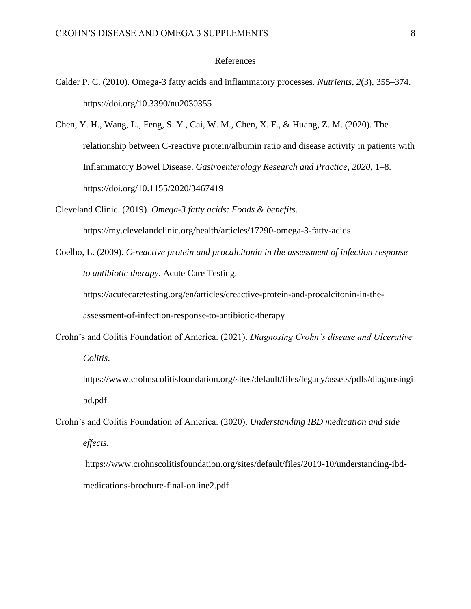#### References

- Calder P. C. (2010). Omega-3 fatty acids and inflammatory processes. *Nutrients*, *2*(3), 355–374. https://doi.org/10.3390/nu2030355
- Chen, Y. H., Wang, L., Feng, S. Y., Cai, W. M., Chen, X. F., & Huang, Z. M. (2020). The relationship between C-reactive protein/albumin ratio and disease activity in patients with Inflammatory Bowel Disease. *Gastroenterology Research and Practice*, *2020*, 1–8. https://doi.org/10.1155/2020/3467419
- Cleveland Clinic. (2019). *Omega-3 fatty acids: Foods & benefits*. https://my.clevelandclinic.org/health/articles/17290-omega-3-fatty-acids
- Coelho, L. (2009). *C-reactive protein and procalcitonin in the assessment of infection response to antibiotic therapy*. Acute Care Testing.

https://acutecaretesting.org/en/articles/creactive-protein-and-procalcitonin-in-the-

assessment-of-infection-response-to-antibiotic-therapy

- Crohn's and Colitis Foundation of America. (2021). *Diagnosing Crohn's disease and Ulcerative Colitis*.
	- https://www.crohnscolitisfoundation.org/sites/default/files/legacy/assets/pdfs/diagnosingi bd.pdf
- Crohn's and Colitis Foundation of America. (2020). *Understanding IBD medication and side effects.*

https://www.crohnscolitisfoundation.org/sites/default/files/2019-10/understanding-ibdmedications-brochure-final-online2.pdf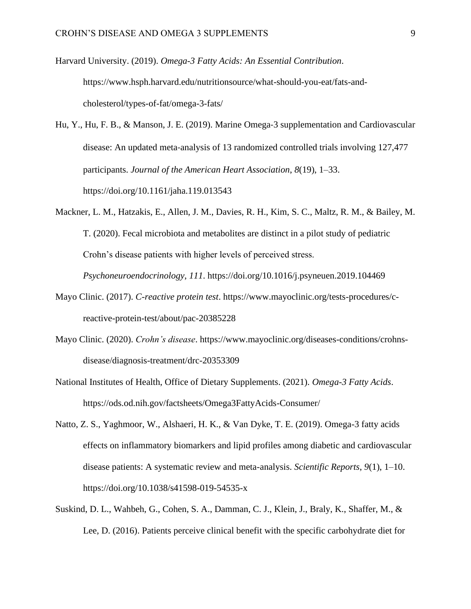Harvard University. (2019). *Omega-3 Fatty Acids: An Essential Contribution*. https://www.hsph.harvard.edu/nutritionsource/what-should-you-eat/fats-andcholesterol/types-of-fat/omega-3-fats/

Hu, Y., Hu, F. B., & Manson, J. E. (2019). Marine Omega‐3 supplementation and Cardiovascular disease: An updated meta‐analysis of 13 randomized controlled trials involving 127,477 participants. *Journal of the American Heart Association*, *8*(19), 1–33. https://doi.org/10.1161/jaha.119.013543

Mackner, L. M., Hatzakis, E., Allen, J. M., Davies, R. H., Kim, S. C., Maltz, R. M., & Bailey, M. T. (2020). Fecal microbiota and metabolites are distinct in a pilot study of pediatric Crohn's disease patients with higher levels of perceived stress.

*Psychoneuroendocrinology*, *111*. https://doi.org/10.1016/j.psyneuen.2019.104469

- Mayo Clinic. (2017). *C-reactive protein test*. https://www.mayoclinic.org/tests-procedures/creactive-protein-test/about/pac-20385228
- Mayo Clinic. (2020). *Crohn's disease*. https://www.mayoclinic.org/diseases-conditions/crohnsdisease/diagnosis-treatment/drc-20353309
- National Institutes of Health, Office of Dietary Supplements. (2021). *Omega-3 Fatty Acids*. https://ods.od.nih.gov/factsheets/Omega3FattyAcids-Consumer/
- Natto, Z. S., Yaghmoor, W., Alshaeri, H. K., & Van Dyke, T. E. (2019). Omega-3 fatty acids effects on inflammatory biomarkers and lipid profiles among diabetic and cardiovascular disease patients: A systematic review and meta-analysis. *Scientific Reports*, *9*(1), 1–10. https://doi.org/10.1038/s41598-019-54535-x
- Suskind, D. L., Wahbeh, G., Cohen, S. A., Damman, C. J., Klein, J., Braly, K., Shaffer, M., & Lee, D. (2016). Patients perceive clinical benefit with the specific carbohydrate diet for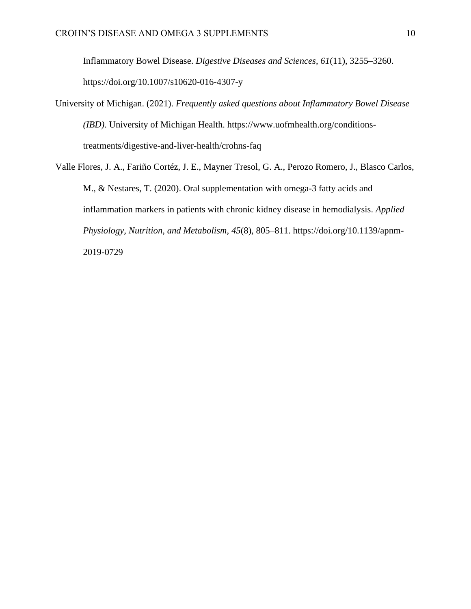Inflammatory Bowel Disease. *Digestive Diseases and Sciences*, *61*(11), 3255–3260. https://doi.org/10.1007/s10620-016-4307-y

- University of Michigan. (2021). *Frequently asked questions about Inflammatory Bowel Disease (IBD)*. University of Michigan Health. https://www.uofmhealth.org/conditionstreatments/digestive-and-liver-health/crohns-faq
- Valle Flores, J. A., Fariño Cortéz, J. E., Mayner Tresol, G. A., Perozo Romero, J., Blasco Carlos, M., & Nestares, T. (2020). Oral supplementation with omega-3 fatty acids and inflammation markers in patients with chronic kidney disease in hemodialysis. *Applied Physiology, Nutrition, and Metabolism*, *45*(8), 805–811. https://doi.org/10.1139/apnm-2019-0729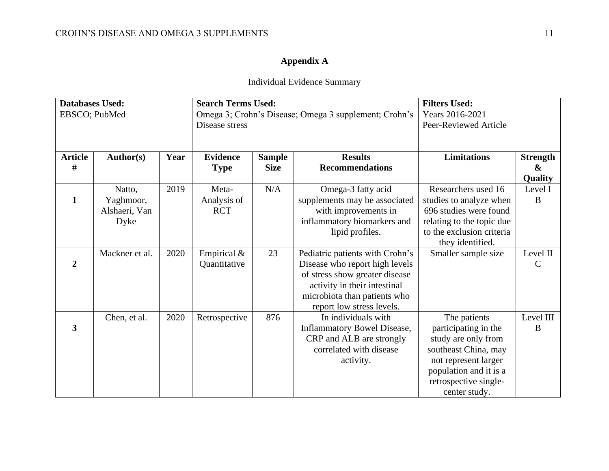### **Appendix A**

## Individual Evidence Summary

| <b>Databases Used:</b> |                |      | <b>Search Terms Used:</b>                             |               |                                    | <b>Filters Used:</b>      |                   |
|------------------------|----------------|------|-------------------------------------------------------|---------------|------------------------------------|---------------------------|-------------------|
| EBSCO; PubMed          |                |      | Omega 3; Crohn's Disease; Omega 3 supplement; Crohn's |               |                                    | Years 2016-2021           |                   |
|                        |                |      | Disease stress                                        |               |                                    | Peer-Reviewed Article     |                   |
|                        |                |      |                                                       |               |                                    |                           |                   |
|                        |                |      |                                                       |               |                                    |                           |                   |
| <b>Article</b>         | Author(s)      | Year | <b>Evidence</b>                                       | <b>Sample</b> | <b>Results</b>                     | <b>Limitations</b>        | <b>Strength</b>   |
| #                      |                |      | <b>Type</b>                                           | <b>Size</b>   | <b>Recommendations</b>             |                           | $\boldsymbol{\&}$ |
|                        |                |      |                                                       |               |                                    |                           | <b>Quality</b>    |
|                        | Natto,         | 2019 | Meta-                                                 | N/A           | Omega-3 fatty acid                 | Researchers used 16       | Level I           |
| $\mathbf{1}$           | Yaghmoor,      |      | Analysis of                                           |               | supplements may be associated      | studies to analyze when   | B                 |
|                        | Alshaeri, Van  |      | <b>RCT</b>                                            |               | with improvements in               | 696 studies were found    |                   |
|                        | Dyke           |      |                                                       |               | inflammatory biomarkers and        | relating to the topic due |                   |
|                        |                |      |                                                       |               | lipid profiles.                    | to the exclusion criteria |                   |
|                        |                |      |                                                       |               |                                    | they identified.          |                   |
|                        | Mackner et al. | 2020 | Empirical &                                           | 23            | Pediatric patients with Crohn's    | Smaller sample size       | Level II          |
| $\overline{2}$         |                |      | Quantitative                                          |               | Disease who report high levels     |                           | $\mathcal{C}$     |
|                        |                |      |                                                       |               | of stress show greater disease     |                           |                   |
|                        |                |      |                                                       |               | activity in their intestinal       |                           |                   |
|                        |                |      |                                                       |               | microbiota than patients who       |                           |                   |
|                        |                |      |                                                       |               | report low stress levels.          |                           |                   |
|                        | Chen, et al.   | 2020 | Retrospective                                         | 876           | In individuals with                | The patients              | Level III         |
| 3                      |                |      |                                                       |               | <b>Inflammatory Bowel Disease,</b> | participating in the      | $\bf{B}$          |
|                        |                |      |                                                       |               | CRP and ALB are strongly           | study are only from       |                   |
|                        |                |      |                                                       |               | correlated with disease            | southeast China, may      |                   |
|                        |                |      |                                                       |               | activity.                          | not represent larger      |                   |
|                        |                |      |                                                       |               |                                    | population and it is a    |                   |
|                        |                |      |                                                       |               |                                    | retrospective single-     |                   |
|                        |                |      |                                                       |               |                                    | center study.             |                   |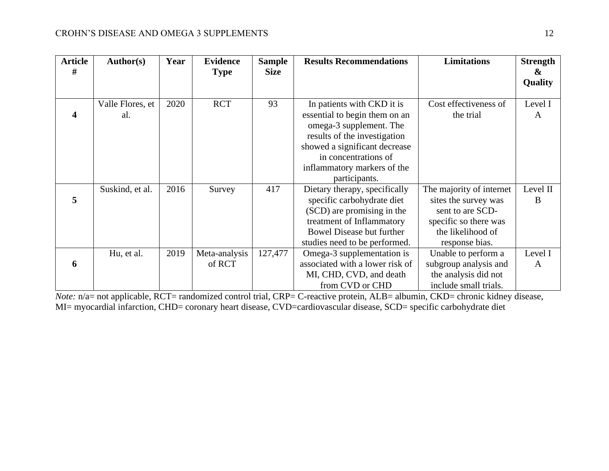| <b>Article</b> | <b>Author(s)</b> | Year | <b>Evidence</b> | <b>Sample</b> | <b>Results Recommendations</b>   | <b>Limitations</b>       | <b>Strength</b> |
|----------------|------------------|------|-----------------|---------------|----------------------------------|--------------------------|-----------------|
| #              |                  |      | <b>Type</b>     | <b>Size</b>   |                                  |                          | &<br>Quality    |
|                |                  |      |                 |               |                                  |                          |                 |
|                | Valle Flores, et | 2020 | <b>RCT</b>      | 93            | In patients with CKD it is       | Cost effectiveness of    | Level I         |
| 4              | al.              |      |                 |               | essential to begin them on an    | the trial                | A               |
|                |                  |      |                 |               | omega-3 supplement. The          |                          |                 |
|                |                  |      |                 |               | results of the investigation     |                          |                 |
|                |                  |      |                 |               | showed a significant decrease    |                          |                 |
|                |                  |      |                 |               | in concentrations of             |                          |                 |
|                |                  |      |                 |               | inflammatory markers of the      |                          |                 |
|                |                  |      |                 |               | participants.                    |                          |                 |
|                | Suskind, et al.  | 2016 | Survey          | 417           | Dietary therapy, specifically    | The majority of internet | Level II        |
| 5              |                  |      |                 |               | specific carbohydrate diet       | sites the survey was     | B               |
|                |                  |      |                 |               | (SCD) are promising in the       | sent to are SCD-         |                 |
|                |                  |      |                 |               | treatment of Inflammatory        | specific so there was    |                 |
|                |                  |      |                 |               | <b>Bowel Disease but further</b> | the likelihood of        |                 |
|                |                  |      |                 |               | studies need to be performed.    | response bias.           |                 |
|                | Hu, et al.       | 2019 | Meta-analysis   | 127,477       | Omega-3 supplementation is       | Unable to perform a      | Level I         |
| 6              |                  |      | of RCT          |               | associated with a lower risk of  | subgroup analysis and    | A               |
|                |                  |      |                 |               | MI, CHD, CVD, and death          | the analysis did not     |                 |
|                |                  |      |                 |               | from CVD or CHD                  | include small trials.    |                 |

*Note:* n/a= not applicable, RCT= randomized control trial, CRP= C-reactive protein, ALB= albumin, CKD= chronic kidney disease, MI= myocardial infarction, CHD= coronary heart disease, CVD=cardiovascular disease, SCD= specific carbohydrate diet